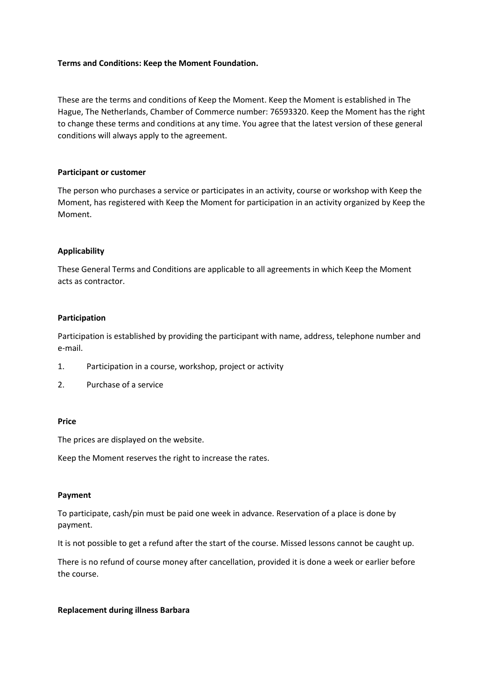## **Terms and Conditions: Keep the Moment Foundation.**

These are the terms and conditions of Keep the Moment. Keep the Moment is established in The Hague, The Netherlands, Chamber of Commerce number: 76593320. Keep the Moment has the right to change these terms and conditions at any time. You agree that the latest version of these general conditions will always apply to the agreement.

#### **Participant or customer**

The person who purchases a service or participates in an activity, course or workshop with Keep the Moment, has registered with Keep the Moment for participation in an activity organized by Keep the Moment.

### **Applicability**

These General Terms and Conditions are applicable to all agreements in which Keep the Moment acts as contractor.

#### **Participation**

Participation is established by providing the participant with name, address, telephone number and e-mail.

- 1. Participation in a course, workshop, project or activity
- 2. Purchase of a service

#### **Price**

The prices are displayed on the website.

Keep the Moment reserves the right to increase the rates.

#### **Payment**

To participate, cash/pin must be paid one week in advance. Reservation of a place is done by payment.

It is not possible to get a refund after the start of the course. Missed lessons cannot be caught up.

There is no refund of course money after cancellation, provided it is done a week or earlier before the course.

#### **Replacement during illness Barbara**